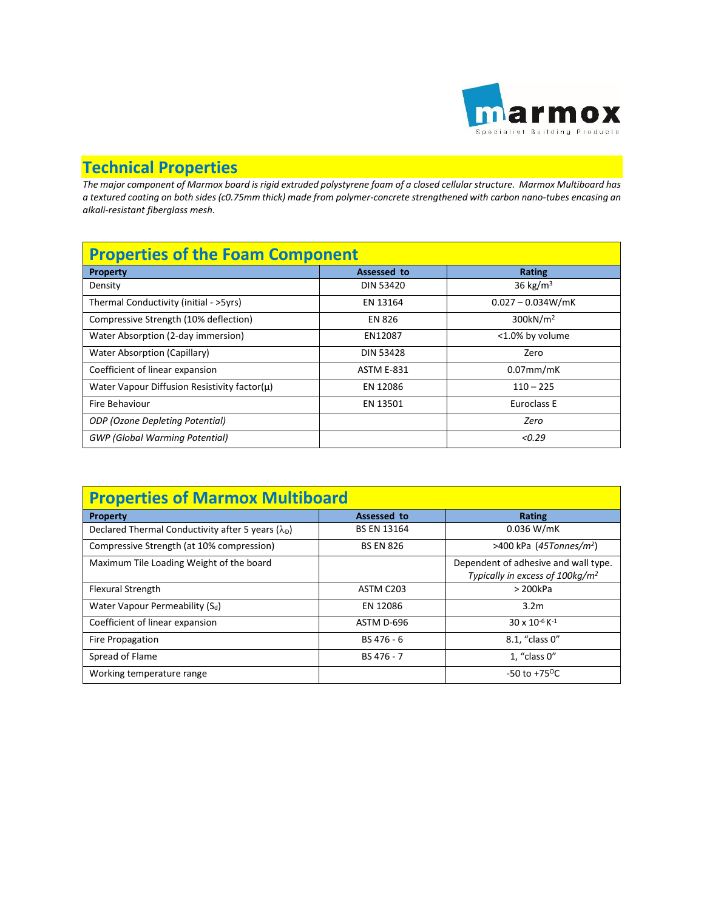

## **Technical Properties**

*The major component of Marmox board is rigid extruded polystyrene foam of a closed cellular structure. Marmox Multiboard has a textured coating on both sides (c0.75mm thick) made from polymer-concrete strengthened with carbon nano-tubes encasing an alkali-resistant fiberglass mesh.*

| <b>Properties of the Foam Component</b>            |                   |                      |  |  |
|----------------------------------------------------|-------------------|----------------------|--|--|
| <b>Property</b>                                    | Assessed to       | Rating               |  |  |
| Density                                            | DIN 53420         | 36 kg/ $m3$          |  |  |
| Thermal Conductivity (initial - >5yrs)             | EN 13164          | $0.027 - 0.034W/mK$  |  |  |
| Compressive Strength (10% deflection)              | <b>EN 826</b>     | 300kN/m <sup>2</sup> |  |  |
| Water Absorption (2-day immersion)                 | EN12087           | <1.0% by volume      |  |  |
| Water Absorption (Capillary)                       | <b>DIN 53428</b>  | Zero                 |  |  |
| Coefficient of linear expansion                    | <b>ASTM E-831</b> | $0.07$ mm/mK         |  |  |
| Water Vapour Diffusion Resistivity factor( $\mu$ ) | EN 12086          | $110 - 225$          |  |  |
| Fire Behaviour                                     | EN 13501          | Euroclass E          |  |  |
| ODP (Ozone Depleting Potential)                    |                   | Zero                 |  |  |
| <b>GWP</b> (Global Warming Potential)              |                   | < 0.29               |  |  |

| <b>Properties of Marmox Multiboard</b>                    |                    |                                                                                     |  |  |
|-----------------------------------------------------------|--------------------|-------------------------------------------------------------------------------------|--|--|
| <b>Property</b>                                           | Assessed to        | Rating                                                                              |  |  |
| Declared Thermal Conductivity after 5 years $(\lambda_D)$ | <b>BS EN 13164</b> | $0.036$ W/mK                                                                        |  |  |
| Compressive Strength (at 10% compression)                 | <b>BS EN 826</b>   | >400 kPa $(45Tonnes/m2)$                                                            |  |  |
| Maximum Tile Loading Weight of the board                  |                    | Dependent of adhesive and wall type.<br>Typically in excess of 100kg/m <sup>2</sup> |  |  |
| <b>Flexural Strength</b>                                  | ASTM C203          | >200kPa                                                                             |  |  |
| Water Vapour Permeability (S <sub>d</sub> )               | EN 12086           | 3.2 <sub>m</sub>                                                                    |  |  |
| Coefficient of linear expansion                           | ASTM D-696         | $30 \times 10^{-6}$ K <sup>-1</sup>                                                 |  |  |
| Fire Propagation                                          | BS 476 - 6         | 8.1, "class 0"                                                                      |  |  |
| Spread of Flame                                           | BS 476 - 7         | $1$ , "class $0$ "                                                                  |  |  |
| Working temperature range                                 |                    | $-50$ to $+75$ <sup>o</sup> C                                                       |  |  |